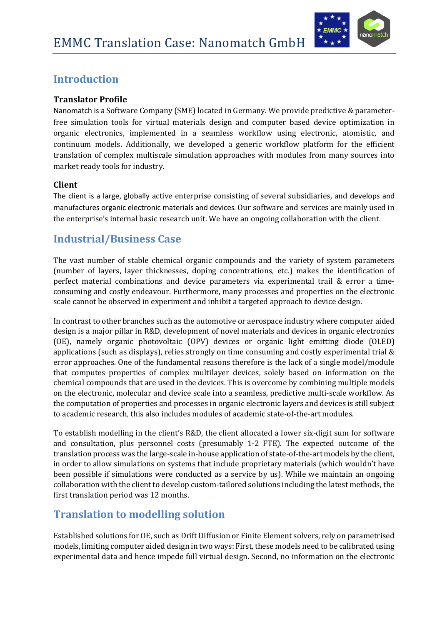

# **Introduction**

### **Translator Profile**

Nanomatch is a Software Company (SME) located in Germany. We provide predictive & parameterfree simulation tools for virtual materials design and computer based device optimization in organic electronics, implemented in a seamless workflow using electronic, atomistic, and continuum models. Additionally, we developed a generic workflow platform for the efficient translation of complex multiscale simulation approaches with modules from many sources into market ready tools for industry.

#### **Client**

The client is a large, globally active enterprise consisting of several subsidiaries, and develops and manufactures organic electronic materials and devices. Our software and services are mainly used in the enterprise's internal basic research unit. We have an ongoing collaboration with the client.

## **Industrial/Business Case**

The vast number of stable chemical organic compounds and the variety of system parameters (number of layers, layer thicknesses, doping concentrations, etc.) makes the identification of perfect material combinations and device parameters via experimental trail & error a timeconsuming and costly endeavour. Furthermore, many processes and properties on the electronic scale cannot be observed in experiment and inhibit a targeted approach to device design.

In contrast to other branches such as the automotive or aerospace industry where computer aided design is a major pillar in R&D, development of novel materials and devices in organic electronics (OE), namely organic photovoltaic (OPV) devices or organic light emitting diode (OLED) applications (such as displays), relies strongly on time consuming and costly experimental trial & error approaches. One of the fundamental reasons therefore is the lack of a single model/module that computes properties of complex multilayer devices, solely based on information on the chemical compounds that are used in the devices. This is overcome by combining multiple models on the electronic, molecular and device scale into a seamless, predictive multi-scale workflow. As the computation of properties and processes in organic electronic layers and devices is still subject to academic research, this also includes modules of academic state-of-the-art modules.

To establish modelling in the client's R&D, the client allocated a lower six-digit sum for software and consultation, plus personnel costs (presumably 1-2 FTE). The expected outcome of the translation process was the large-scale in-house application of state-of-the-art models by the client, in order to allow simulations on systems that include proprietary materials (which wouldn't have been possible if simulations were conducted as a service by us). While we maintain an ongoing collaboration with the client to develop custom-tailored solutions including the latest methods, the first translation period was 12 months.

## **Translation to modelling solution**

Established solutions for OE, such as Drift Diffusion or Finite Element solvers, rely on parametrised models, limiting computer aided design in two ways: First, these models need to be calibrated using experimental data and hence impede full virtual design. Second, no information on the electronic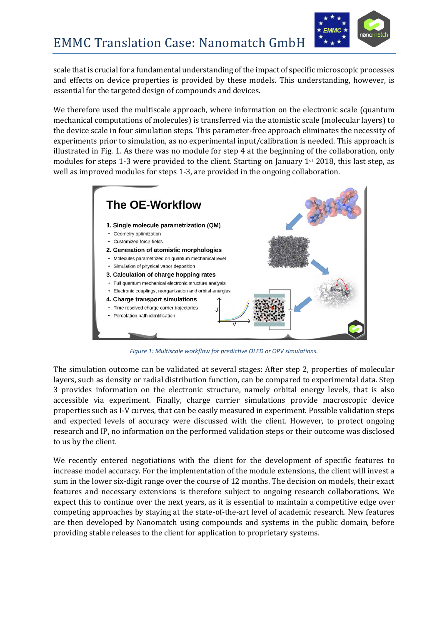

scale that is crucial for a fundamental understanding of the impact of specific microscopic processes and effects on device properties is provided by these models. This understanding, however, is essential for the targeted design of compounds and devices.

We therefore used the multiscale approach, where information on the electronic scale (quantum mechanical computations of molecules) is transferred via the atomistic scale (molecular layers) to the device scale in four simulation steps. This parameter-free approach eliminates the necessity of experiments prior to simulation, as no experimental input/calibration is needed. This approach is illustrated in Fig. 1. As there was no module for step 4 at the beginning of the collaboration, only modules for steps 1-3 were provided to the client. Starting on January 1st 2018, this last step, as well as improved modules for steps 1-3, are provided in the ongoing collaboration.



*Figure 1: Multiscale workflow for predictive OLED or OPV simulations.*

The simulation outcome can be validated at several stages: After step 2, properties of molecular layers, such as density or radial distribution function, can be compared to experimental data. Step 3 provides information on the electronic structure, namely orbital energy levels, that is also accessible via experiment. Finally, charge carrier simulations provide macroscopic device properties such as I-V curves, that can be easily measured in experiment. Possible validation steps and expected levels of accuracy were discussed with the client. However, to protect ongoing research and IP, no information on the performed validation steps or their outcome was disclosed to us by the client.

We recently entered negotiations with the client for the development of specific features to increase model accuracy. For the implementation of the module extensions, the client will invest a sum in the lower six-digit range over the course of 12 months. The decision on models, their exact features and necessary extensions is therefore subject to ongoing research collaborations. We expect this to continue over the next years, as it is essential to maintain a competitive edge over competing approaches by staying at the state-of-the-art level of academic research. New features are then developed by Nanomatch using compounds and systems in the public domain, before providing stable releases to the client for application to proprietary systems.